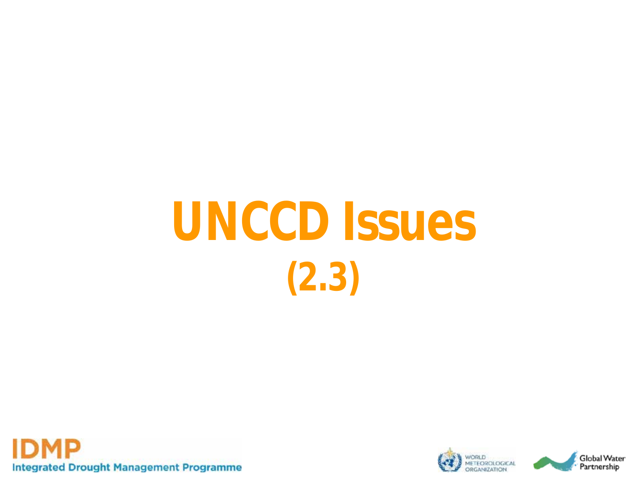# **UNCCD Issues (2.3)**



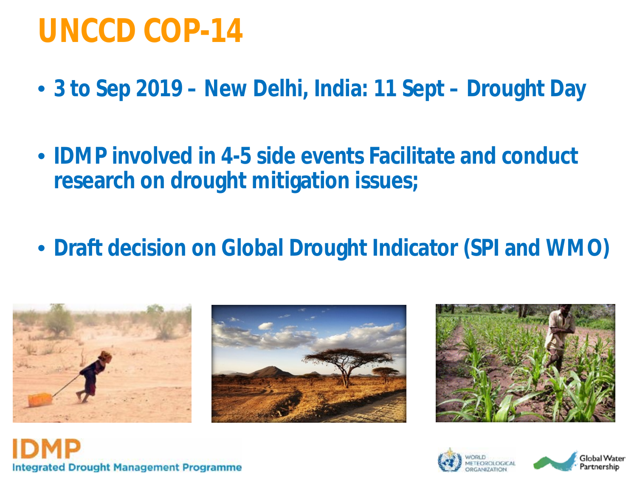# **UNCCD COP-14**

- **3 to Sep 2019 – New Delhi, India: 11 Sept – Drought Day**
- **IDMP involved in 4-5 side events Facilitate and conduct research on drought mitigation issues;**
- **Draft decision on Global Drought Indicator (SPI and WMO)**





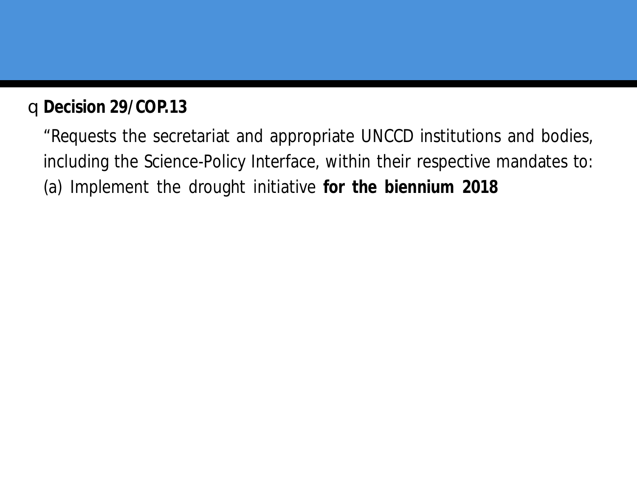#### q**Decision 29/COP.13**

"Requests the secretariat and appropriate UNCCD institutions and bodies, including the Science-Policy Interface, within their respective mandates to: (a) Implement the drought initiative **for the biennium 2018**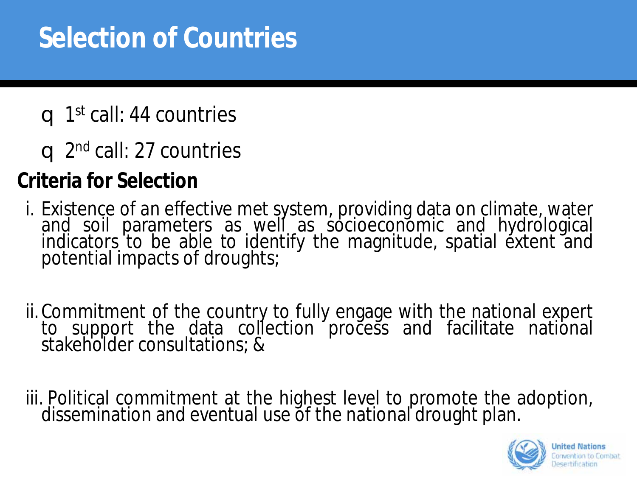# **Selection of Countries**

## $\blacksquare$  1<sup>st</sup> call: 44 countries

 $\Box$  2<sup>nd</sup> call: 27 countries

## **Criteria for Selection**

- i. Existence of an effective met system, providing data on climate, water and soil parameters as well as socioeconomic and hydrological<br>indicators to be able to identify the magnitude, spatial extent and potential impacts of droughts;
- ii.Commitment of the country to fully engage with the national expert to support the data collection process and facilitate national stakeholder consultations; &
- iii. Political commitment at the highest level to promote the adoption, dissemination and eventual use of the national drought plan.

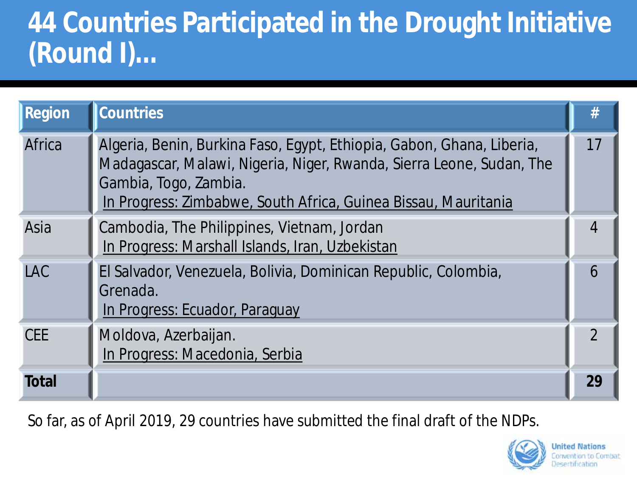## **44 Countries Participated in the Drought Initiative (Round I)…**

| <b>Region</b> | <b>Countries</b>                                                                                                                                                                                                                         | #              |
|---------------|------------------------------------------------------------------------------------------------------------------------------------------------------------------------------------------------------------------------------------------|----------------|
| Africa        | Algeria, Benin, Burkina Faso, Egypt, Ethiopia, Gabon, Ghana, Liberia,<br>Madagascar, Malawi, Nigeria, Niger, Rwanda, Sierra Leone, Sudan, The<br>Gambia, Togo, Zambia.<br>In Progress: Zimbabwe, South Africa, Guinea Bissau, Mauritania | 17             |
| Asia          | Cambodia, The Philippines, Vietnam, Jordan<br>In Progress: Marshall Islands, Iran, Uzbekistan                                                                                                                                            | $\overline{4}$ |
| <b>LAC</b>    | El Salvador, Venezuela, Bolivia, Dominican Republic, Colombia,<br>Grenada.<br>In Progress: Ecuador, Paraguay                                                                                                                             | 6              |
| <b>CEE</b>    | Moldova, Azerbaijan.<br>In Progress: Macedonia, Serbia                                                                                                                                                                                   | $\overline{2}$ |
| <b>Total</b>  |                                                                                                                                                                                                                                          | 29             |

So far, as of April 2019, 29 countries have submitted the final draft of the NDPs.

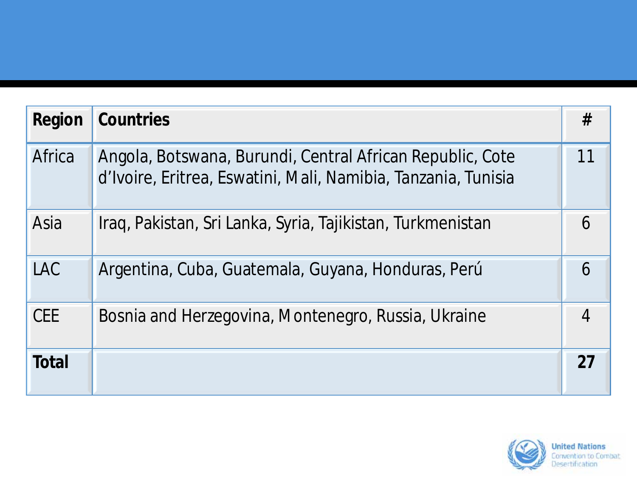| Region       | <b>Countries</b>                                                                                                           | #  |
|--------------|----------------------------------------------------------------------------------------------------------------------------|----|
| Africa       | Angola, Botswana, Burundi, Central African Republic, Cote<br>d'Ivoire, Eritrea, Eswatini, Mali, Namibia, Tanzania, Tunisia | 11 |
| Asia         | Iraq, Pakistan, Sri Lanka, Syria, Tajikistan, Turkmenistan                                                                 | 6  |
| <b>LAC</b>   | Argentina, Cuba, Guatemala, Guyana, Honduras, Perú                                                                         | 6  |
| <b>CEE</b>   | Bosnia and Herzegovina, Montenegro, Russia, Ukraine                                                                        | 4  |
| <b>Total</b> |                                                                                                                            | 27 |